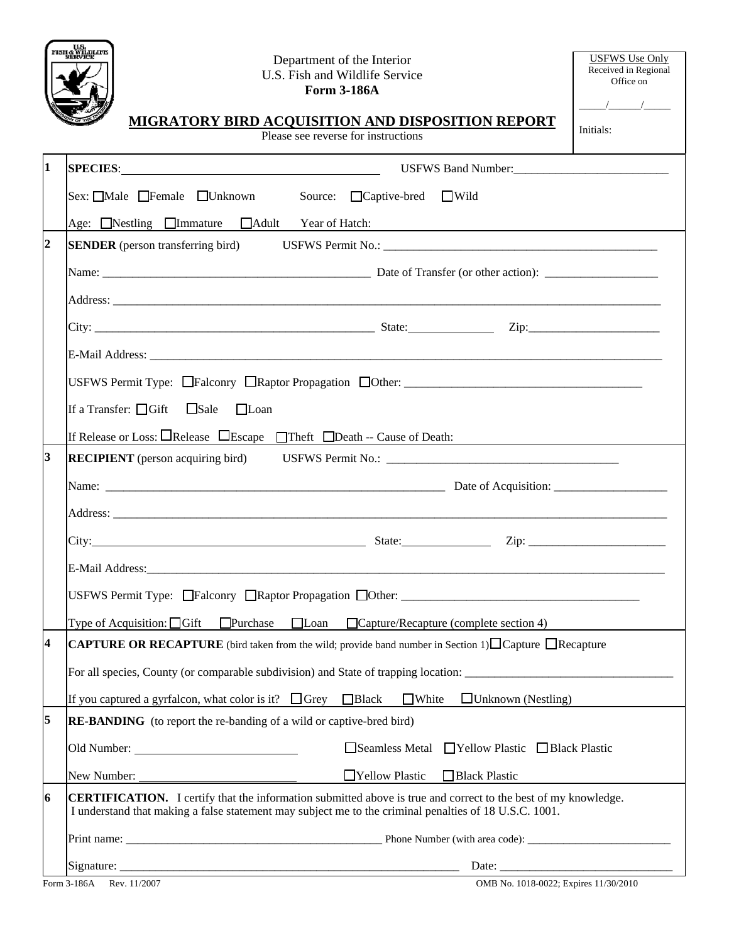

## Department of the Inter-U.S. Fish and Wildlife **Form 3-186A**

|                                                                                   | <b>SERVICE</b><br>Department of the Interior<br>U.S. Fish and Wildlife Service<br><b>Form 3-186A</b><br>MIGRATORY BIRD ACQUISITION AND DISPOSITION REPORT<br>Please see reverse for instructions | <b>USFWS Use Only</b><br>Received in Regional<br>Office on<br>$\frac{1}{\sqrt{1-\frac{1}{2}}}\frac{1}{\sqrt{1-\frac{1}{2}}}\frac{1}{\sqrt{1-\frac{1}{2}}}\frac{1}{\sqrt{1-\frac{1}{2}}}\frac{1}{\sqrt{1-\frac{1}{2}}}\frac{1}{\sqrt{1-\frac{1}{2}}}\frac{1}{\sqrt{1-\frac{1}{2}}}\frac{1}{\sqrt{1-\frac{1}{2}}}\frac{1}{\sqrt{1-\frac{1}{2}}}\frac{1}{\sqrt{1-\frac{1}{2}}}\frac{1}{\sqrt{1-\frac{1}{2}}}\frac{1}{\sqrt{1-\frac{1}{2}}}\frac{1}{\sqrt{1-\frac{1}{2}}}\frac{1}{\sqrt{1-\frac{$<br>Initials: |  |  |  |  |                                                       |
|-----------------------------------------------------------------------------------|--------------------------------------------------------------------------------------------------------------------------------------------------------------------------------------------------|------------------------------------------------------------------------------------------------------------------------------------------------------------------------------------------------------------------------------------------------------------------------------------------------------------------------------------------------------------------------------------------------------------------------------------------------------------------------------------------------------------|--|--|--|--|-------------------------------------------------------|
| 1                                                                                 | SPECIES: USFWS Band Number: 2008 CONSERVERS 2008 Number: 2008 CONSERVERS: 2008 2014                                                                                                              |                                                                                                                                                                                                                                                                                                                                                                                                                                                                                                            |  |  |  |  |                                                       |
|                                                                                   | Sex: Male Female Unknown Source: Captive-bred Wild<br>Age: Nestling Immature I Adult Year of Hatch:                                                                                              |                                                                                                                                                                                                                                                                                                                                                                                                                                                                                                            |  |  |  |  |                                                       |
| $\overline{2}$                                                                    |                                                                                                                                                                                                  |                                                                                                                                                                                                                                                                                                                                                                                                                                                                                                            |  |  |  |  |                                                       |
|                                                                                   |                                                                                                                                                                                                  |                                                                                                                                                                                                                                                                                                                                                                                                                                                                                                            |  |  |  |  |                                                       |
|                                                                                   |                                                                                                                                                                                                  |                                                                                                                                                                                                                                                                                                                                                                                                                                                                                                            |  |  |  |  |                                                       |
| USFWS Permit Type: Falconry Raptor Propagation DOther: __________________________ |                                                                                                                                                                                                  |                                                                                                                                                                                                                                                                                                                                                                                                                                                                                                            |  |  |  |  |                                                       |
|                                                                                   |                                                                                                                                                                                                  |                                                                                                                                                                                                                                                                                                                                                                                                                                                                                                            |  |  |  |  | If a Transfer: $\Box$ Gift $\Box$ Sale<br>$\Box$ Loan |
|                                                                                   | If Release or Loss: $\Box$ Release $\Box$ Escape $\Box$ Theft $\Box$ Death -- Cause of Death:                                                                                                    |                                                                                                                                                                                                                                                                                                                                                                                                                                                                                                            |  |  |  |  |                                                       |
| 3                                                                                 | <b>RECIPIENT</b> (person acquiring bird) USFWS Permit No.: ____________________________                                                                                                          |                                                                                                                                                                                                                                                                                                                                                                                                                                                                                                            |  |  |  |  |                                                       |
|                                                                                   |                                                                                                                                                                                                  |                                                                                                                                                                                                                                                                                                                                                                                                                                                                                                            |  |  |  |  |                                                       |

|                                                                                                                                                     | Age: Nestling Immature Adult Year of Hatch:                                                                                                                                                                                          |  |  |  |  |  |
|-----------------------------------------------------------------------------------------------------------------------------------------------------|--------------------------------------------------------------------------------------------------------------------------------------------------------------------------------------------------------------------------------------|--|--|--|--|--|
| $\overline{2}$                                                                                                                                      |                                                                                                                                                                                                                                      |  |  |  |  |  |
|                                                                                                                                                     |                                                                                                                                                                                                                                      |  |  |  |  |  |
|                                                                                                                                                     |                                                                                                                                                                                                                                      |  |  |  |  |  |
|                                                                                                                                                     |                                                                                                                                                                                                                                      |  |  |  |  |  |
|                                                                                                                                                     |                                                                                                                                                                                                                                      |  |  |  |  |  |
|                                                                                                                                                     | USFWS Permit Type: Falconry Raptor Propagation DOther: _________________________                                                                                                                                                     |  |  |  |  |  |
|                                                                                                                                                     | If a Transfer: $\Box$ Gift $\Box$ Sale $\Box$ Loan                                                                                                                                                                                   |  |  |  |  |  |
|                                                                                                                                                     | If Release or Loss: $\Box$ Release $\Box$ Escape $\Box$ Theft $\Box$ Death -- Cause of Death:                                                                                                                                        |  |  |  |  |  |
| $\overline{\mathbf{3}}$                                                                                                                             | RECIPIENT (person acquiring bird) USFWS Permit No.: _____________________________                                                                                                                                                    |  |  |  |  |  |
|                                                                                                                                                     |                                                                                                                                                                                                                                      |  |  |  |  |  |
|                                                                                                                                                     | Address: <u>The Community of the Community of the Community of the Community of the Community of the Community of the Community of the Community of the Community of the Community of the Community of the Community of the Comm</u> |  |  |  |  |  |
|                                                                                                                                                     |                                                                                                                                                                                                                                      |  |  |  |  |  |
|                                                                                                                                                     |                                                                                                                                                                                                                                      |  |  |  |  |  |
|                                                                                                                                                     |                                                                                                                                                                                                                                      |  |  |  |  |  |
|                                                                                                                                                     | Type of Acquisition: $\Box$ Gift $\Box$ Purchase $\Box$ Loan $\Box$ Capture/Recapture (complete section 4)                                                                                                                           |  |  |  |  |  |
| $\overline{\mathbf{4}}$<br><b>CAPTURE OR RECAPTURE</b> (bird taken from the wild; provide band number in Section 1) $\Box$ Capture $\Box$ Recapture |                                                                                                                                                                                                                                      |  |  |  |  |  |
|                                                                                                                                                     |                                                                                                                                                                                                                                      |  |  |  |  |  |
|                                                                                                                                                     | If you captured a gyrfalcon, what color is it? $\Box$ Grey $\Box$ Black $\Box$ White<br>$\Box$ Unknown (Nestling)                                                                                                                    |  |  |  |  |  |
| 5                                                                                                                                                   | <b>RE-BANDING</b> (to report the re-banding of a wild or captive-bred bird)                                                                                                                                                          |  |  |  |  |  |
|                                                                                                                                                     |                                                                                                                                                                                                                                      |  |  |  |  |  |
|                                                                                                                                                     | □Yellow Plastic<br>Black Plastic                                                                                                                                                                                                     |  |  |  |  |  |
| 6                                                                                                                                                   | <b>CERTIFICATION.</b> I certify that the information submitted above is true and correct to the best of my knowledge.<br>I understand that making a false statement may subject me to the criminal penalties of 18 U.S.C. 1001.      |  |  |  |  |  |
|                                                                                                                                                     |                                                                                                                                                                                                                                      |  |  |  |  |  |
|                                                                                                                                                     | Date:                                                                                                                                                                                                                                |  |  |  |  |  |
|                                                                                                                                                     | Form 3-186A<br>Rev. 11/2007<br>OMB No. 1018-0022; Expires 11/30/2010                                                                                                                                                                 |  |  |  |  |  |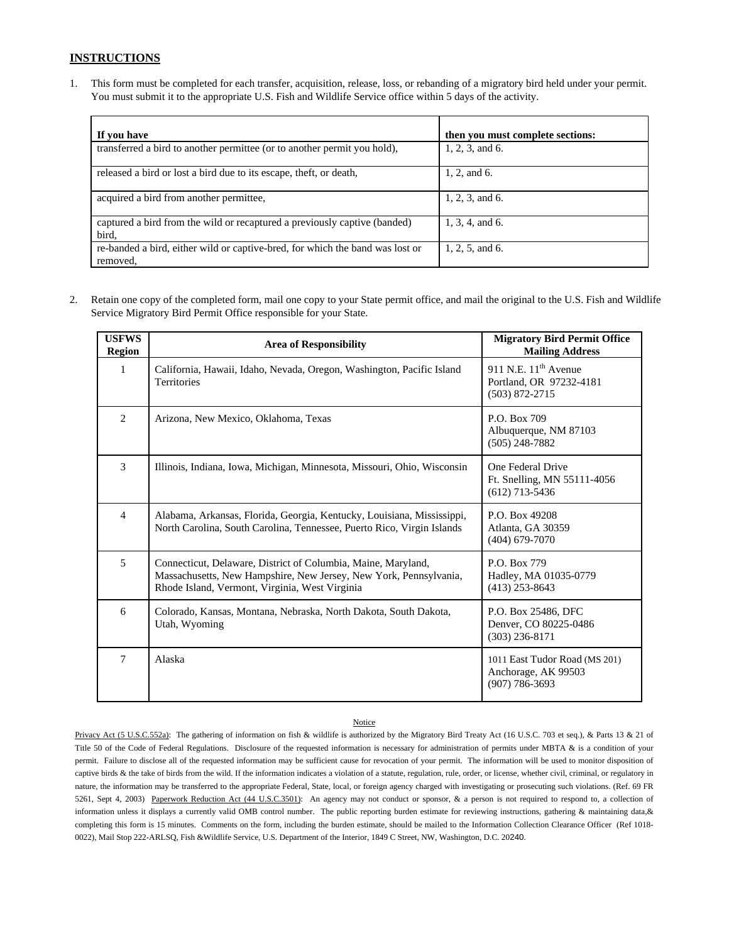## **INSTRUCTIONS**

1. This form must be completed for each transfer, acquisition, release, loss, or rebanding of a migratory bird held under your permit. You must submit it to the appropriate U.S. Fish and Wildlife Service office within 5 days of the activity.

| If you have                                                                               | then you must complete sections: |
|-------------------------------------------------------------------------------------------|----------------------------------|
| transferred a bird to another permittee (or to another permit you hold),                  | 1, 2, 3, and 6.                  |
| released a bird or lost a bird due to its escape, theft, or death,                        | 1, 2, and 6.                     |
| acquired a bird from another permittee,                                                   | 1, 2, 3, and 6.                  |
| captured a bird from the wild or recaptured a previously captive (banded)<br>bird.        | 1, 3, 4, and 6.                  |
| re-banded a bird, either wild or captive-bred, for which the band was lost or<br>removed. | 1, 2, 5, and 6.                  |

2. Retain one copy of the completed form, mail one copy to your State permit office, and mail the original to the U.S. Fish and Wildlife Service Migratory Bird Permit Office responsible for your State.

| <b>USFWS</b><br><b>Region</b> | <b>Area of Responsibility</b>                                                                                                                                                        | <b>Migratory Bird Permit Office</b><br><b>Mailing Address</b>              |
|-------------------------------|--------------------------------------------------------------------------------------------------------------------------------------------------------------------------------------|----------------------------------------------------------------------------|
| $\mathbf{1}$                  | California, Hawaii, Idaho, Nevada, Oregon, Washington, Pacific Island<br><b>Territories</b>                                                                                          | 911 N.E. $11th$ Avenue<br>Portland, OR 97232-4181<br>$(503) 872 - 2715$    |
| $\overline{2}$                | Arizona, New Mexico, Oklahoma, Texas                                                                                                                                                 | P.O. Box 709<br>Albuquerque, NM 87103<br>$(505)$ 248-7882                  |
| 3                             | Illinois, Indiana, Iowa, Michigan, Minnesota, Missouri, Ohio, Wisconsin                                                                                                              | One Federal Drive<br>Ft. Snelling, MN 55111-4056<br>$(612)$ 713-5436       |
| 4                             | Alabama, Arkansas, Florida, Georgia, Kentucky, Louisiana, Mississippi,<br>North Carolina, South Carolina, Tennessee, Puerto Rico, Virgin Islands                                     | P.O. Box 49208<br>Atlanta, GA 30359<br>$(404)$ 679-7070                    |
| 5                             | Connecticut, Delaware, District of Columbia, Maine, Maryland,<br>Massachusetts, New Hampshire, New Jersey, New York, Pennsylvania,<br>Rhode Island, Vermont, Virginia, West Virginia | P.O. Box 779<br>Hadley, MA 01035-0779<br>$(413)$ 253-8643                  |
| 6                             | Colorado, Kansas, Montana, Nebraska, North Dakota, South Dakota,<br>Utah, Wyoming                                                                                                    | P.O. Box 25486, DFC<br>Denver, CO 80225-0486<br>$(303)$ 236-8171           |
| $\overline{7}$                | Alaska                                                                                                                                                                               | 1011 East Tudor Road (MS 201)<br>Anchorage, AK 99503<br>$(907) 786 - 3693$ |

## **Notice**

Privacy Act (5 U.S.C.552a): The gathering of information on fish & wildlife is authorized by the Migratory Bird Treaty Act (16 U.S.C. 703 et seq.), & Parts 13 & 21 of Title 50 of the Code of Federal Regulations. Disclosure of the requested information is necessary for administration of permits under MBTA & is a condition of your permit. Failure to disclose all of the requested information may be sufficient cause for revocation of your permit. The information will be used to monitor disposition of captive birds & the take of birds from the wild. If the information indicates a violation of a statute, regulation, rule, order, or license, whether civil, criminal, or regulatory in nature, the information may be transferred to the appropriate Federal, State, local, or foreign agency charged with investigating or prosecuting such violations. (Ref. 69 FR 5261, Sept 4, 2003) Paperwork Reduction Act (44 U.S.C.3501): An agency may not conduct or sponsor, & a person is not required to respond to, a collection of information unless it displays a currently valid OMB control number. The public reporting burden estimate for reviewing instructions, gathering & maintaining data, & completing this form is 15 minutes. Comments on the form, including the burden estimate, should be mailed to the Information Collection Clearance Officer (Ref 1018- 0022), Mail Stop 222-ARLSQ, Fish &Wildlife Service, U.S. Department of the Interior, 1849 C Street, NW, Washington, D.C. 20240.